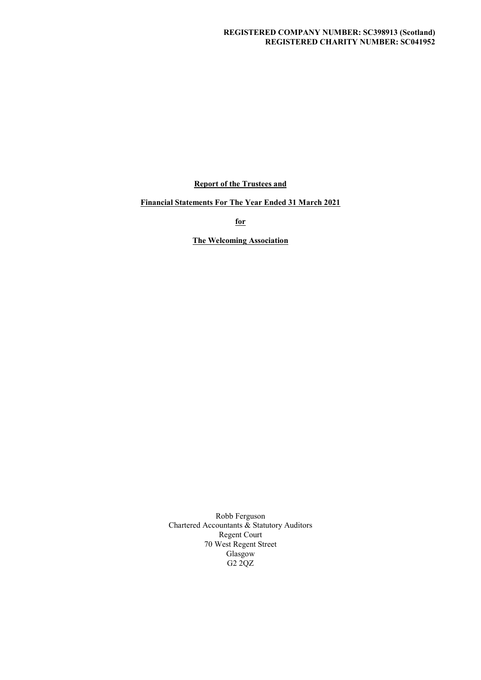### REGISTERED COMPANY NUMBER: SC398913 (Scotland) REGISTERED CHARITY NUMBER: SC041952

Report of the Trustees and

Financial Statements For The Year Ended 31 March 2021

for

The Welcoming Association

Robb Ferguson Chartered Accountants & Statutory Auditors Regent Court 70 West Regent Street Glasgow G2 2QZ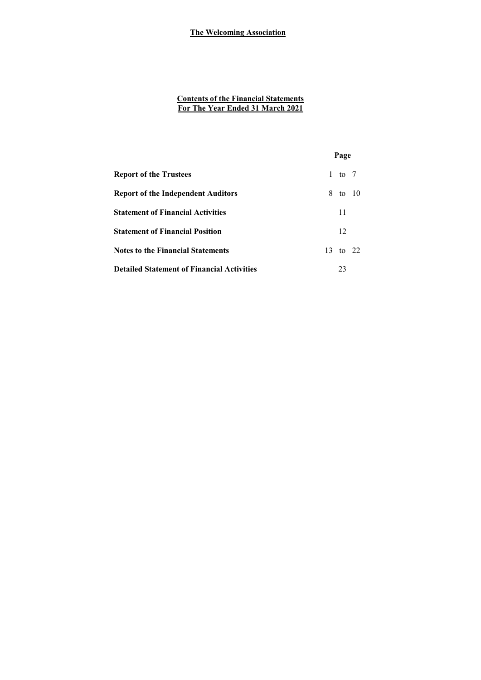# Contents of the Financial Statements For The Year Ended 31 March 2021

|                                                   |              | Page     |  |
|---------------------------------------------------|--------------|----------|--|
| <b>Report of the Trustees</b>                     | $\mathbf{1}$ | to $7$   |  |
| <b>Report of the Independent Auditors</b>         |              | 8 to 10  |  |
| <b>Statement of Financial Activities</b>          |              | 11       |  |
| <b>Statement of Financial Position</b>            |              | 12       |  |
| <b>Notes to the Financial Statements</b>          |              | 13 to 22 |  |
| <b>Detailed Statement of Financial Activities</b> |              | 23       |  |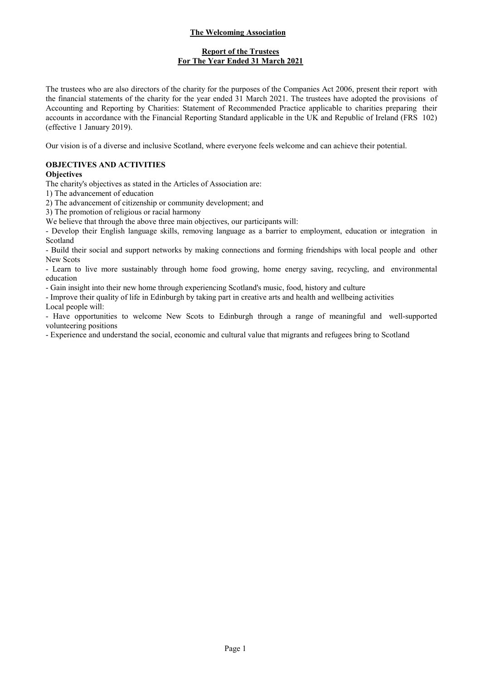# Report of the Trustees For The Year Ended 31 March 2021

The trustees who are also directors of the charity for the purposes of the Companies Act 2006, present their report with the financial statements of the charity for the year ended 31 March 2021. The trustees have adopted the provisions of Accounting and Reporting by Charities: Statement of Recommended Practice applicable to charities preparing their accounts in accordance with the Financial Reporting Standard applicable in the UK and Republic of Ireland (FRS 102) (effective 1 January 2019).

Our vision is of a diverse and inclusive Scotland, where everyone feels welcome and can achieve their potential.

# OBJECTIVES AND ACTIVITIES

## **Objectives**

The charity's objectives as stated in the Articles of Association are:

1) The advancement of education

2) The advancement of citizenship or community development; and

3) The promotion of religious or racial harmony

We believe that through the above three main objectives, our participants will:

- Develop their English language skills, removing language as a barrier to employment, education or integration in Scotland

- Build their social and support networks by making connections and forming friendships with local people and other New Scots

- Learn to live more sustainably through home food growing, home energy saving, recycling, and environmental education

- Gain insight into their new home through experiencing Scotland's music, food, history and culture

- Improve their quality of life in Edinburgh by taking part in creative arts and health and wellbeing activities

Local people will:

- Have opportunities to welcome New Scots to Edinburgh through a range of meaningful and well-supported volunteering positions

- Experience and understand the social, economic and cultural value that migrants and refugees bring to Scotland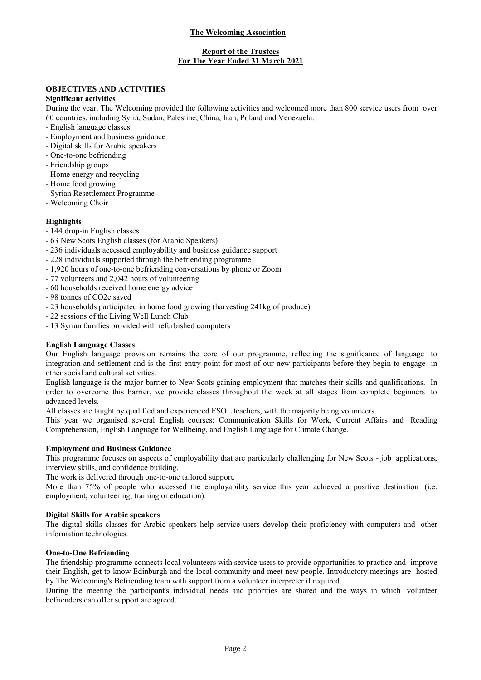## Report of the Trustees For The Year Ended 31 March 2021

# OBJECTIVES AND ACTIVITIES

#### Significant activities

During the year, The Welcoming provided the following activities and welcomed more than 800 service users from over 60 countries, including Syria, Sudan, Palestine, China, Iran, Poland and Venezuela.

- English language classes
- Employment and business guidance
- Digital skills for Arabic speakers
- One-to-one befriending
- Friendship groups
- Home energy and recycling
- Home food growing
- Syrian Resettlement Programme
- Welcoming Choir

### **Highlights**

- 144 drop-in English classes
- 63 New Scots English classes (for Arabic Speakers)
- 236 individuals accessed employability and business guidance support
- 228 individuals supported through the befriending programme
- 1,920 hours of one-to-one befriending conversations by phone or Zoom
- 77 volunteers and 2,042 hours of volunteering
- 60 households received home energy advice
- 98 tonnes of CO2e saved
- 23 households participated in home food growing (harvesting 241kg of produce)
- 22 sessions of the Living Well Lunch Club
- 13 Syrian families provided with refurbished computers

### English Language Classes

Our English language provision remains the core of our programme, reflecting the significance of language to integration and settlement and is the first entry point for most of our new participants before they begin to engage in other social and cultural activities.

English language is the major barrier to New Scots gaining employment that matches their skills and qualifications. In order to overcome this barrier, we provide classes throughout the week at all stages from complete beginners to advanced levels.

All classes are taught by qualified and experienced ESOL teachers, with the majority being volunteers.

This year we organised several English courses: Communication Skills for Work, Current Affairs and Reading Comprehension, English Language for Wellbeing, and English Language for Climate Change.

### Employment and Business Guidance

This programme focuses on aspects of employability that are particularly challenging for New Scots - job applications, interview skills, and confidence building.

The work is delivered through one-to-one tailored support.

More than 75% of people who accessed the employability service this year achieved a positive destination (i.e. employment, volunteering, training or education).

### Digital Skills for Arabic speakers

The digital skills classes for Arabic speakers help service users develop their proficiency with computers and other information technologies.

### One-to-One Befriending

The friendship programme connects local volunteers with service users to provide opportunities to practice and improve their English, get to know Edinburgh and the local community and meet new people. Introductory meetings are hosted by The Welcoming's Befriending team with support from a volunteer interpreter if required.

During the meeting the participant's individual needs and priorities are shared and the ways in which volunteer befrienders can offer support are agreed.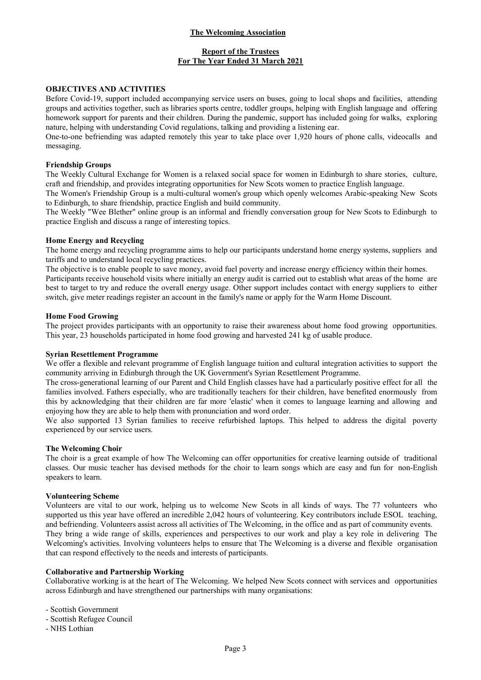## Report of the Trustees For The Year Ended 31 March 2021

#### OBJECTIVES AND ACTIVITIES

Before Covid-19, support included accompanying service users on buses, going to local shops and facilities, attending groups and activities together, such as libraries sports centre, toddler groups, helping with English language and offering homework support for parents and their children. During the pandemic, support has included going for walks, exploring nature, helping with understanding Covid regulations, talking and providing a listening ear.

One-to-one befriending was adapted remotely this year to take place over 1,920 hours of phone calls, videocalls and messaging.

#### Friendship Groups

The Weekly Cultural Exchange for Women is a relaxed social space for women in Edinburgh to share stories, culture, craft and friendship, and provides integrating opportunities for New Scots women to practice English language.

The Women's Friendship Group is a multi-cultural women's group which openly welcomes Arabic-speaking New Scots to Edinburgh, to share friendship, practice English and build community.

The Weekly "Wee Blether" online group is an informal and friendly conversation group for New Scots to Edinburgh to practice English and discuss a range of interesting topics.

#### Home Energy and Recycling

The home energy and recycling programme aims to help our participants understand home energy systems, suppliers and tariffs and to understand local recycling practices.

The objective is to enable people to save money, avoid fuel poverty and increase energy efficiency within their homes. Participants receive household visits where initially an energy audit is carried out to establish what areas of the home are best to target to try and reduce the overall energy usage. Other support includes contact with energy suppliers to either switch, give meter readings register an account in the family's name or apply for the Warm Home Discount.

#### Home Food Growing

The project provides participants with an opportunity to raise their awareness about home food growing opportunities. This year, 23 households participated in home food growing and harvested 241 kg of usable produce.

#### Syrian Resettlement Programme

We offer a flexible and relevant programme of English language tuition and cultural integration activities to support the community arriving in Edinburgh through the UK Government's Syrian Resettlement Programme.

The cross-generational learning of our Parent and Child English classes have had a particularly positive effect for all the families involved. Fathers especially, who are traditionally teachers for their children, have benefited enormously from this by acknowledging that their children are far more 'elastic' when it comes to language learning and allowing and enjoying how they are able to help them with pronunciation and word order.

We also supported 13 Syrian families to receive refurbished laptops. This helped to address the digital poverty experienced by our service users.

#### The Welcoming Choir

The choir is a great example of how The Welcoming can offer opportunities for creative learning outside of traditional classes. Our music teacher has devised methods for the choir to learn songs which are easy and fun for non-English speakers to learn.

#### Volunteering Scheme

Volunteers are vital to our work, helping us to welcome New Scots in all kinds of ways. The 77 volunteers who supported us this year have offered an incredible 2,042 hours of volunteering. Key contributors include ESOL teaching, and befriending. Volunteers assist across all activities of The Welcoming, in the office and as part of community events. They bring a wide range of skills, experiences and perspectives to our work and play a key role in delivering The Welcoming's activities. Involving volunteers helps to ensure that The Welcoming is a diverse and flexible organisation that can respond effectively to the needs and interests of participants.

#### Collaborative and Partnership Working

Collaborative working is at the heart of The Welcoming. We helped New Scots connect with services and opportunities across Edinburgh and have strengthened our partnerships with many organisations:

- Scottish Government

- Scottish Refugee Council

- NHS Lothian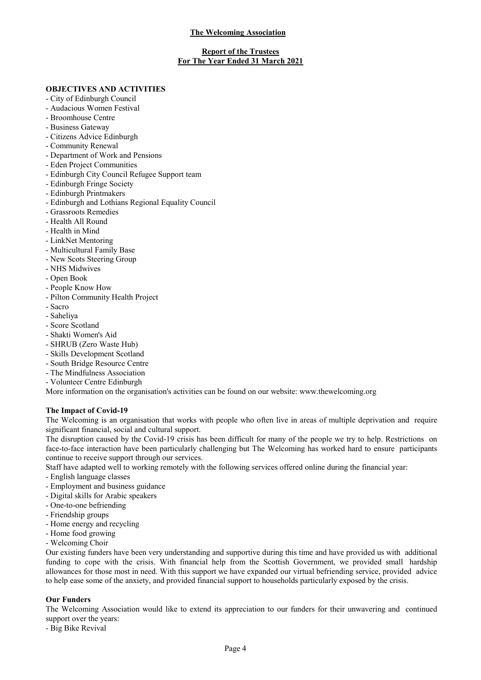### Report of the Trustees For The Year Ended 31 March 2021

### OBJECTIVES AND ACTIVITIES

- City of Edinburgh Council
- Audacious Women Festival
- Broomhouse Centre
- Business Gateway
- Citizens Advice Edinburgh
- Community Renewal
- Department of Work and Pensions
- Eden Project Communities
- Edinburgh City Council Refugee Support team
- Edinburgh Fringe Society
- Edinburgh Printmakers
- Edinburgh and Lothians Regional Equality Council
- Grassroots Remedies
- Health All Round
- Health in Mind
- LinkNet Mentoring
- Multicultural Family Base
- New Scots Steering Group
- NHS Midwives
- Open Book
- People Know How
- Pilton Community Health Project
- Sacro
- Saheliya
- Score Scotland
- Shakti Women's Aid
- SHRUB (Zero Waste Hub)
- Skills Development Scotland
- South Bridge Resource Centre
- The Mindfulness Association
- Volunteer Centre Edinburgh

More information on the organisation's activities can be found on our website: www.thewelcoming.org

#### The Impact of Covid-19

The Welcoming is an organisation that works with people who often live in areas of multiple deprivation and require significant financial, social and cultural support.

The disruption caused by the Covid-19 crisis has been difficult for many of the people we try to help. Restrictions on face-to-face interaction have been particularly challenging but The Welcoming has worked hard to ensure participants continue to receive support through our services.

Staff have adapted well to working remotely with the following services offered online during the financial year:

- English language classes
- Employment and business guidance
- Digital skills for Arabic speakers
- One-to-one befriending
- Friendship groups
- Home energy and recycling
- Home food growing
- Welcoming Choir

Our existing funders have been very understanding and supportive during this time and have provided us with additional funding to cope with the crisis. With financial help from the Scottish Government, we provided small hardship allowances for those most in need. With this support we have expanded our virtual befriending service, provided advice to help ease some of the anxiety, and provided financial support to households particularly exposed by the crisis.

### Our Funders

The Welcoming Association would like to extend its appreciation to our funders for their unwavering and continued support over the years:

- Big Bike Revival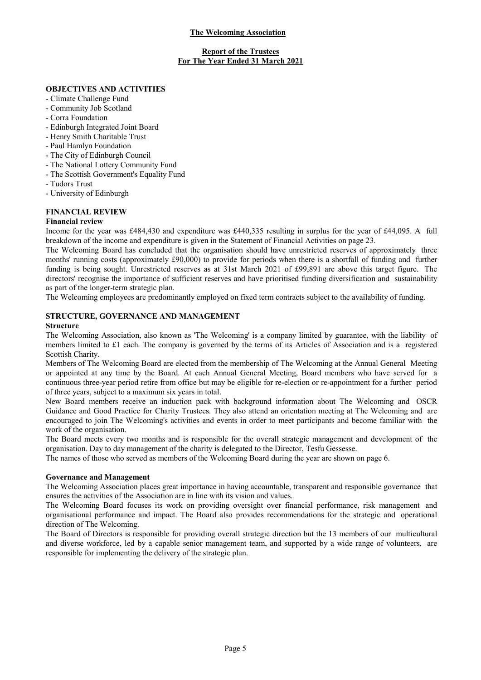## Report of the Trustees For The Year Ended 31 March 2021

# OBJECTIVES AND ACTIVITIES

- Climate Challenge Fund
- Community Job Scotland
- Corra Foundation
- Edinburgh Integrated Joint Board
- Henry Smith Charitable Trust
- Paul Hamlyn Foundation
- The City of Edinburgh Council
- The National Lottery Community Fund
- The Scottish Government's Equality Fund
- Tudors Trust
- University of Edinburgh

## FINANCIAL REVIEW

#### Financial review

Income for the year was £484,430 and expenditure was £440,335 resulting in surplus for the year of £44,095. A full breakdown of the income and expenditure is given in the Statement of Financial Activities on page 23.

The Welcoming Board has concluded that the organisation should have unrestricted reserves of approximately three months' running costs (approximately £90,000) to provide for periods when there is a shortfall of funding and further funding is being sought. Unrestricted reserves as at 31st March 2021 of £99,891 are above this target figure. The directors' recognise the importance of sufficient reserves and have prioritised funding diversification and sustainability as part of the longer-term strategic plan.

The Welcoming employees are predominantly employed on fixed term contracts subject to the availability of funding.

### STRUCTURE, GOVERNANCE AND MANAGEMENT

#### Structure

The Welcoming Association, also known as 'The Welcoming' is a company limited by guarantee, with the liability of members limited to £1 each. The company is governed by the terms of its Articles of Association and is a registered Scottish Charity.

Members of The Welcoming Board are elected from the membership of The Welcoming at the Annual General Meeting or appointed at any time by the Board. At each Annual General Meeting, Board members who have served for a continuous three-year period retire from office but may be eligible for re-election or re-appointment for a further period of three years, subject to a maximum six years in total.

New Board members receive an induction pack with background information about The Welcoming and OSCR Guidance and Good Practice for Charity Trustees. They also attend an orientation meeting at The Welcoming and are encouraged to join The Welcoming's activities and events in order to meet participants and become familiar with the work of the organisation.

The Board meets every two months and is responsible for the overall strategic management and development of the organisation. Day to day management of the charity is delegated to the Director, Tesfu Gessesse.

The names of those who served as members of the Welcoming Board during the year are shown on page 6.

#### Governance and Management

The Welcoming Association places great importance in having accountable, transparent and responsible governance that ensures the activities of the Association are in line with its vision and values.

The Welcoming Board focuses its work on providing oversight over financial performance, risk management and organisational performance and impact. The Board also provides recommendations for the strategic and operational direction of The Welcoming.

The Board of Directors is responsible for providing overall strategic direction but the 13 members of our multicultural and diverse workforce, led by a capable senior management team, and supported by a wide range of volunteers, are responsible for implementing the delivery of the strategic plan.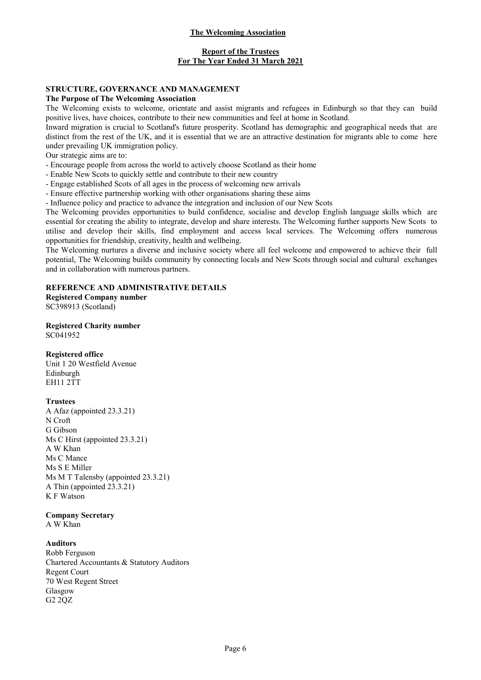## Report of the Trustees For The Year Ended 31 March 2021

### STRUCTURE, GOVERNANCE AND MANAGEMENT

#### The Purpose of The Welcoming Association

The Welcoming exists to welcome, orientate and assist migrants and refugees in Edinburgh so that they can build positive lives, have choices, contribute to their new communities and feel at home in Scotland.

Inward migration is crucial to Scotland's future prosperity. Scotland has demographic and geographical needs that are distinct from the rest of the UK, and it is essential that we are an attractive destination for migrants able to come here under prevailing UK immigration policy.

Our strategic aims are to:

- Encourage people from across the world to actively choose Scotland as their home

- Enable New Scots to quickly settle and contribute to their new country
- Engage established Scots of all ages in the process of welcoming new arrivals

- Ensure effective partnership working with other organisations sharing these aims

- Influence policy and practice to advance the integration and inclusion of our New Scots

The Welcoming provides opportunities to build confidence, socialise and develop English language skills which are essential for creating the ability to integrate, develop and share interests. The Welcoming further supports New Scots to utilise and develop their skills, find employment and access local services. The Welcoming offers numerous opportunities for friendship, creativity, health and wellbeing.

The Welcoming nurtures a diverse and inclusive society where all feel welcome and empowered to achieve their full potential, The Welcoming builds community by connecting locals and New Scots through social and cultural exchanges and in collaboration with numerous partners.

#### REFERENCE AND ADMINISTRATIVE DETAILS

Registered Company number SC398913 (Scotland)

Registered Charity number SC041952

### Registered office

Unit 1 20 Westfield Avenue Edinburgh EH11 2TT

### **Trustees**

A Afaz (appointed 23.3.21) N Croft G Gibson Ms C Hirst (appointed 23.3.21) A W Khan Ms C Mance Ms S E Miller Ms M T Talensby (appointed 23.3.21) A Thin (appointed 23.3.21) K F Watson

### Company Secretary

A W Khan

### Auditors

Robb Ferguson Chartered Accountants & Statutory Auditors Regent Court 70 West Regent Street Glasgow G2 2QZ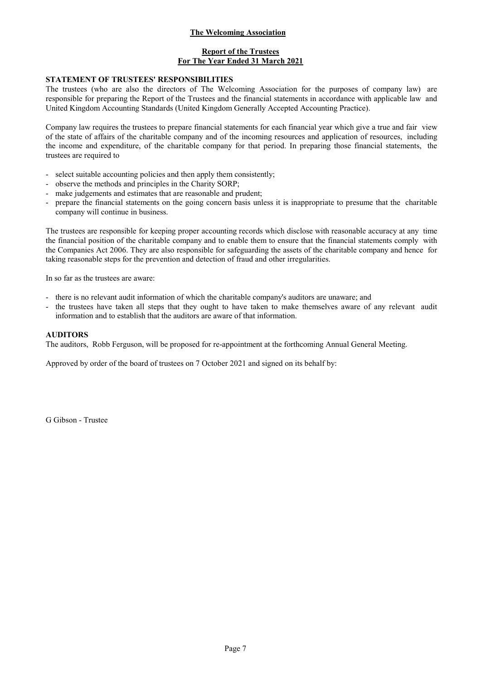# Report of the Trustees For The Year Ended 31 March 2021

### STATEMENT OF TRUSTEES' RESPONSIBILITIES

The trustees (who are also the directors of The Welcoming Association for the purposes of company law) are responsible for preparing the Report of the Trustees and the financial statements in accordance with applicable law and United Kingdom Accounting Standards (United Kingdom Generally Accepted Accounting Practice).

Company law requires the trustees to prepare financial statements for each financial year which give a true and fair view of the state of affairs of the charitable company and of the incoming resources and application of resources, including the income and expenditure, of the charitable company for that period. In preparing those financial statements, the trustees are required to

- select suitable accounting policies and then apply them consistently:
- observe the methods and principles in the Charity SORP;
- make judgements and estimates that are reasonable and prudent;
- prepare the financial statements on the going concern basis unless it is inappropriate to presume that the charitable company will continue in business.

The trustees are responsible for keeping proper accounting records which disclose with reasonable accuracy at any time the financial position of the charitable company and to enable them to ensure that the financial statements comply with the Companies Act 2006. They are also responsible for safeguarding the assets of the charitable company and hence for taking reasonable steps for the prevention and detection of fraud and other irregularities.

In so far as the trustees are aware:

- there is no relevant audit information of which the charitable company's auditors are unaware; and
- the trustees have taken all steps that they ought to have taken to make themselves aware of any relevant audit information and to establish that the auditors are aware of that information.

#### AUDITORS

The auditors, Robb Ferguson, will be proposed for re-appointment at the forthcoming Annual General Meeting.

Approved by order of the board of trustees on 7 October 2021 and signed on its behalf by:

G Gibson - Trustee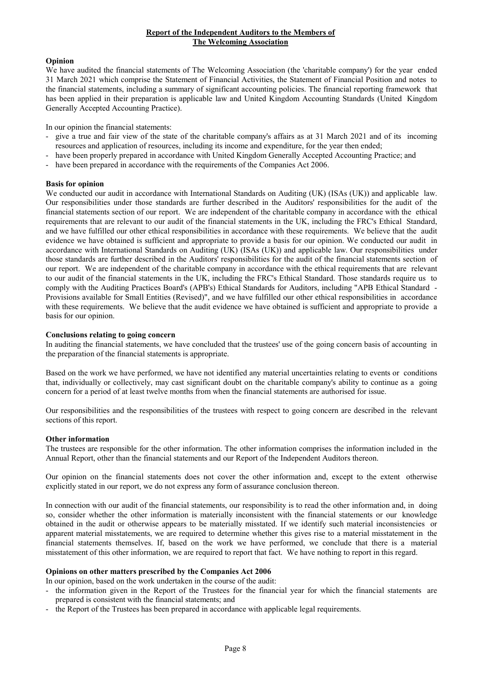### Report of the Independent Auditors to the Members of The Welcoming Association

### Opinion

We have audited the financial statements of The Welcoming Association (the 'charitable company') for the year ended 31 March 2021 which comprise the Statement of Financial Activities, the Statement of Financial Position and notes to the financial statements, including a summary of significant accounting policies. The financial reporting framework that has been applied in their preparation is applicable law and United Kingdom Accounting Standards (United Kingdom Generally Accepted Accounting Practice).

In our opinion the financial statements:

- give a true and fair view of the state of the charitable company's affairs as at 31 March 2021 and of its incoming resources and application of resources, including its income and expenditure, for the year then ended;
- have been properly prepared in accordance with United Kingdom Generally Accepted Accounting Practice; and
- have been prepared in accordance with the requirements of the Companies Act 2006.

### Basis for opinion

We conducted our audit in accordance with International Standards on Auditing (UK) (ISAs (UK)) and applicable law. Our responsibilities under those standards are further described in the Auditors' responsibilities for the audit of the financial statements section of our report. We are independent of the charitable company in accordance with the ethical requirements that are relevant to our audit of the financial statements in the UK, including the FRC's Ethical Standard, and we have fulfilled our other ethical responsibilities in accordance with these requirements. We believe that the audit evidence we have obtained is sufficient and appropriate to provide a basis for our opinion. We conducted our audit in accordance with International Standards on Auditing (UK) (ISAs (UK)) and applicable law. Our responsibilities under those standards are further described in the Auditors' responsibilities for the audit of the financial statements section of our report. We are independent of the charitable company in accordance with the ethical requirements that are relevant to our audit of the financial statements in the UK, including the FRC's Ethical Standard. Those standards require us to comply with the Auditing Practices Board's (APB's) Ethical Standards for Auditors, including "APB Ethical Standard - Provisions available for Small Entities (Revised)", and we have fulfilled our other ethical responsibilities in accordance with these requirements. We believe that the audit evidence we have obtained is sufficient and appropriate to provide a basis for our opinion.

### Conclusions relating to going concern

In auditing the financial statements, we have concluded that the trustees' use of the going concern basis of accounting in the preparation of the financial statements is appropriate.

Based on the work we have performed, we have not identified any material uncertainties relating to events or conditions that, individually or collectively, may cast significant doubt on the charitable company's ability to continue as a going concern for a period of at least twelve months from when the financial statements are authorised for issue.

Our responsibilities and the responsibilities of the trustees with respect to going concern are described in the relevant sections of this report.

### Other information

The trustees are responsible for the other information. The other information comprises the information included in the Annual Report, other than the financial statements and our Report of the Independent Auditors thereon.

Our opinion on the financial statements does not cover the other information and, except to the extent otherwise explicitly stated in our report, we do not express any form of assurance conclusion thereon.

In connection with our audit of the financial statements, our responsibility is to read the other information and, in doing so, consider whether the other information is materially inconsistent with the financial statements or our knowledge obtained in the audit or otherwise appears to be materially misstated. If we identify such material inconsistencies or apparent material misstatements, we are required to determine whether this gives rise to a material misstatement in the financial statements themselves. If, based on the work we have performed, we conclude that there is a material misstatement of this other information, we are required to report that fact. We have nothing to report in this regard.

### Opinions on other matters prescribed by the Companies Act 2006

In our opinion, based on the work undertaken in the course of the audit:

- the information given in the Report of the Trustees for the financial year for which the financial statements are prepared is consistent with the financial statements; and
- the Report of the Trustees has been prepared in accordance with applicable legal requirements.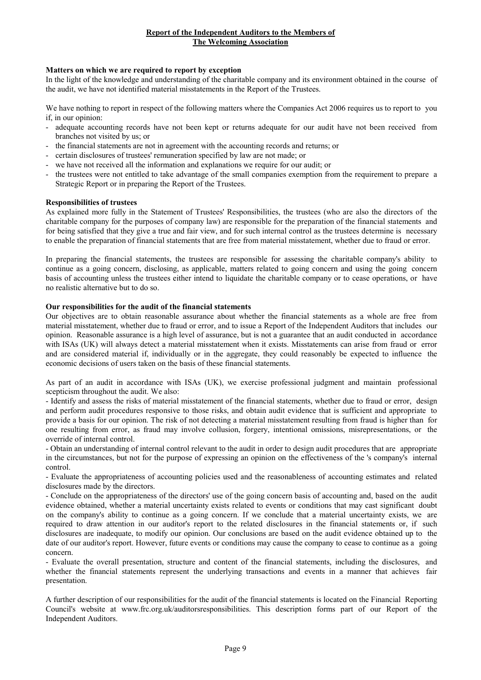## Report of the Independent Auditors to the Members of The Welcoming Association

### Matters on which we are required to report by exception

In the light of the knowledge and understanding of the charitable company and its environment obtained in the course of the audit, we have not identified material misstatements in the Report of the Trustees.

We have nothing to report in respect of the following matters where the Companies Act 2006 requires us to report to you if, in our opinion:

- adequate accounting records have not been kept or returns adequate for our audit have not been received from branches not visited by us; or
- the financial statements are not in agreement with the accounting records and returns; or
- certain disclosures of trustees' remuneration specified by law are not made; or
- we have not received all the information and explanations we require for our audit; or
- the trustees were not entitled to take advantage of the small companies exemption from the requirement to prepare a Strategic Report or in preparing the Report of the Trustees.

#### Responsibilities of trustees

As explained more fully in the Statement of Trustees' Responsibilities, the trustees (who are also the directors of the charitable company for the purposes of company law) are responsible for the preparation of the financial statements and for being satisfied that they give a true and fair view, and for such internal control as the trustees determine is necessary to enable the preparation of financial statements that are free from material misstatement, whether due to fraud or error.

In preparing the financial statements, the trustees are responsible for assessing the charitable company's ability to continue as a going concern, disclosing, as applicable, matters related to going concern and using the going concern basis of accounting unless the trustees either intend to liquidate the charitable company or to cease operations, or have no realistic alternative but to do so.

# Our responsibilities for the audit of the financial statements

Our objectives are to obtain reasonable assurance about whether the financial statements as a whole are free from material misstatement, whether due to fraud or error, and to issue a Report of the Independent Auditors that includes our opinion. Reasonable assurance is a high level of assurance, but is not a guarantee that an audit conducted in accordance with ISAs (UK) will always detect a material misstatement when it exists. Misstatements can arise from fraud or error and are considered material if, individually or in the aggregate, they could reasonably be expected to influence the economic decisions of users taken on the basis of these financial statements.

As part of an audit in accordance with ISAs (UK), we exercise professional judgment and maintain professional scepticism throughout the audit. We also:

- Identify and assess the risks of material misstatement of the financial statements, whether due to fraud or error, design and perform audit procedures responsive to those risks, and obtain audit evidence that is sufficient and appropriate to provide a basis for our opinion. The risk of not detecting a material misstatement resulting from fraud is higher than for one resulting from error, as fraud may involve collusion, forgery, intentional omissions, misrepresentations, or the override of internal control.

- Obtain an understanding of internal control relevant to the audit in order to design audit procedures that are appropriate in the circumstances, but not for the purpose of expressing an opinion on the effectiveness of the 's company's internal control.

- Evaluate the appropriateness of accounting policies used and the reasonableness of accounting estimates and related disclosures made by the directors.

- Conclude on the appropriateness of the directors' use of the going concern basis of accounting and, based on the audit evidence obtained, whether a material uncertainty exists related to events or conditions that may cast significant doubt on the company's ability to continue as a going concern. If we conclude that a material uncertainty exists, we are required to draw attention in our auditor's report to the related disclosures in the financial statements or, if such disclosures are inadequate, to modify our opinion. Our conclusions are based on the audit evidence obtained up to the date of our auditor's report. However, future events or conditions may cause the company to cease to continue as a going concern.

- Evaluate the overall presentation, structure and content of the financial statements, including the disclosures, and whether the financial statements represent the underlying transactions and events in a manner that achieves fair presentation.

A further description of our responsibilities for the audit of the financial statements is located on the Financial Reporting Council's website at www.frc.org.uk/auditorsresponsibilities. This description forms part of our Report of the Independent Auditors.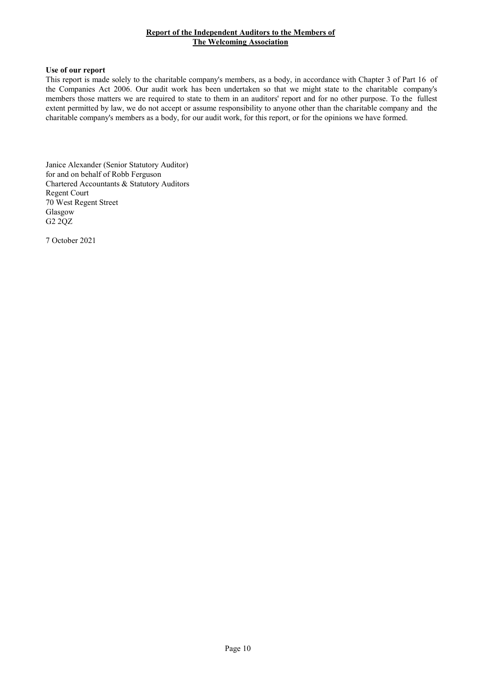## Report of the Independent Auditors to the Members of The Welcoming Association

#### Use of our report

This report is made solely to the charitable company's members, as a body, in accordance with Chapter 3 of Part 16 of the Companies Act 2006. Our audit work has been undertaken so that we might state to the charitable company's members those matters we are required to state to them in an auditors' report and for no other purpose. To the fullest extent permitted by law, we do not accept or assume responsibility to anyone other than the charitable company and the charitable company's members as a body, for our audit work, for this report, or for the opinions we have formed.

Janice Alexander (Senior Statutory Auditor) for and on behalf of Robb Ferguson Chartered Accountants & Statutory Auditors Regent Court 70 West Regent Street Glasgow G2 2QZ

7 October 2021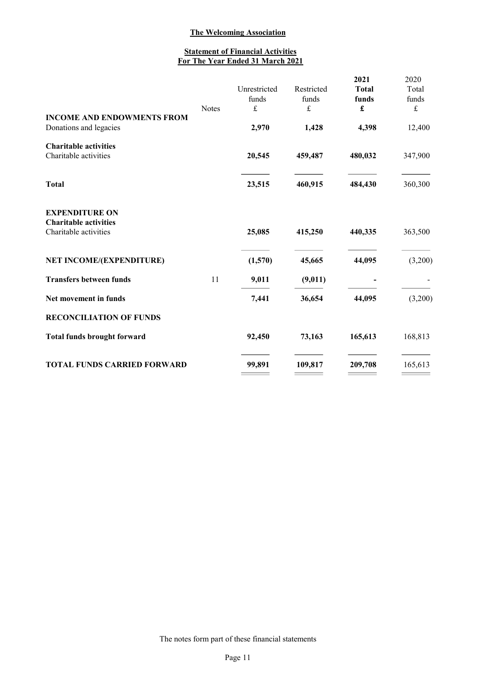# **Statement of Financial Activities** For The Year Ended 31 March 2021

|                                                                                | <b>Notes</b> | Unrestricted<br>funds<br>$\pounds$ | Restricted<br>funds<br>$\pounds$ | 2021<br><b>Total</b><br>funds<br>£ | 2020<br>Total<br>funds<br>$\pounds$ |
|--------------------------------------------------------------------------------|--------------|------------------------------------|----------------------------------|------------------------------------|-------------------------------------|
| <b>INCOME AND ENDOWMENTS FROM</b><br>Donations and legacies                    |              | 2,970                              | 1,428                            | 4,398                              | 12,400                              |
| <b>Charitable activities</b><br>Charitable activities                          |              | 20,545                             | 459,487                          | 480,032                            | 347,900                             |
| <b>Total</b>                                                                   |              | 23,515                             | 460,915                          | 484,430                            | 360,300                             |
| <b>EXPENDITURE ON</b><br><b>Charitable activities</b><br>Charitable activities |              | 25,085                             | 415,250                          | 440,335                            | 363,500                             |
| NET INCOME/(EXPENDITURE)                                                       |              | (1,570)                            | 45,665                           | 44,095                             | (3,200)                             |
| <b>Transfers between funds</b>                                                 | 11           | 9,011                              | (9,011)                          |                                    |                                     |
| Net movement in funds                                                          |              | 7,441                              | 36,654                           | 44,095                             | (3,200)                             |
| <b>RECONCILIATION OF FUNDS</b>                                                 |              |                                    |                                  |                                    |                                     |
| <b>Total funds brought forward</b>                                             |              | 92,450                             | 73,163                           | 165,613                            | 168,813                             |
| <b>TOTAL FUNDS CARRIED FORWARD</b>                                             |              | 99,891                             | 109,817                          | 209,708                            | 165,613                             |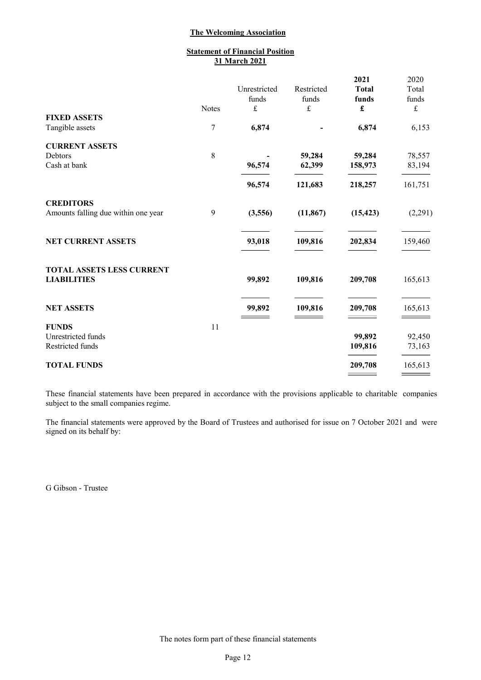# **Statement of Financial Position** 31 March 2021

|                                     |              |                       |                     | 2021                  | 2020           |
|-------------------------------------|--------------|-----------------------|---------------------|-----------------------|----------------|
|                                     |              | Unrestricted<br>funds | Restricted<br>funds | <b>Total</b><br>funds | Total<br>funds |
|                                     | <b>Notes</b> | $\pounds$             | $\pounds$           | £                     | $\pounds$      |
| <b>FIXED ASSETS</b>                 |              |                       |                     |                       |                |
| Tangible assets                     | 7            | 6,874                 |                     | 6,874                 | 6,153          |
| <b>CURRENT ASSETS</b>               |              |                       |                     |                       |                |
| Debtors                             | $8\,$        |                       | 59,284              | 59,284                | 78,557         |
| Cash at bank                        |              | 96,574                | 62,399              | 158,973               | 83,194         |
|                                     |              | 96,574                | 121,683             | 218,257               | 161,751        |
| <b>CREDITORS</b>                    |              |                       |                     |                       |                |
| Amounts falling due within one year | 9            | (3,556)               | (11, 867)           | (15, 423)             | (2,291)        |
| <b>NET CURRENT ASSETS</b>           |              | 93,018                | 109,816             | 202,834               | 159,460        |
|                                     |              |                       |                     |                       |                |
| <b>TOTAL ASSETS LESS CURRENT</b>    |              |                       |                     |                       |                |
| <b>LIABILITIES</b>                  |              | 99,892                | 109,816             | 209,708               | 165,613        |
| <b>NET ASSETS</b>                   |              | 99,892                | 109,816             | 209,708               | 165,613        |
|                                     |              |                       |                     |                       |                |
| <b>FUNDS</b>                        | 11           |                       |                     |                       |                |
| Unrestricted funds                  |              |                       |                     | 99,892                | 92,450         |
| Restricted funds                    |              |                       |                     | 109,816               | 73,163         |
| <b>TOTAL FUNDS</b>                  |              |                       |                     | 209,708               | 165,613        |

These financial statements have been prepared in accordance with the provisions applicable to charitable companies subject to the small companies regime.

The financial statements were approved by the Board of Trustees and authorised for issue on 7 October 2021 and were signed on its behalf by:

G Gibson - Trustee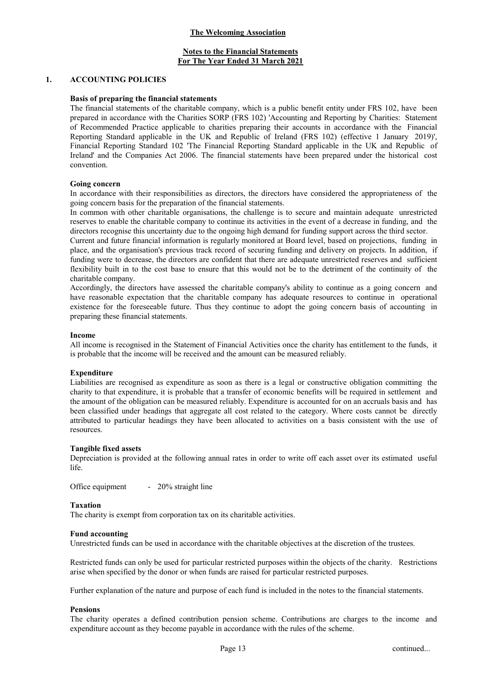# Notes to the Financial Statements For The Year Ended 31 March 2021

#### 1. ACCOUNTING POLICIES

#### Basis of preparing the financial statements

The financial statements of the charitable company, which is a public benefit entity under FRS 102, have been prepared in accordance with the Charities SORP (FRS 102) 'Accounting and Reporting by Charities: Statement of Recommended Practice applicable to charities preparing their accounts in accordance with the Financial Reporting Standard applicable in the UK and Republic of Ireland (FRS 102) (effective 1 January 2019)', Financial Reporting Standard 102 'The Financial Reporting Standard applicable in the UK and Republic of Ireland' and the Companies Act 2006. The financial statements have been prepared under the historical cost convention.

#### Going concern

In accordance with their responsibilities as directors, the directors have considered the appropriateness of the going concern basis for the preparation of the financial statements.

In common with other charitable organisations, the challenge is to secure and maintain adequate unrestricted reserves to enable the charitable company to continue its activities in the event of a decrease in funding, and the directors recognise this uncertainty due to the ongoing high demand for funding support across the third sector.

Current and future financial information is regularly monitored at Board level, based on projections, funding in place, and the organisation's previous track record of securing funding and delivery on projects. In addition, if funding were to decrease, the directors are confident that there are adequate unrestricted reserves and sufficient flexibility built in to the cost base to ensure that this would not be to the detriment of the continuity of the charitable company.

Accordingly, the directors have assessed the charitable company's ability to continue as a going concern and have reasonable expectation that the charitable company has adequate resources to continue in operational existence for the foreseeable future. Thus they continue to adopt the going concern basis of accounting in preparing these financial statements.

#### Income

All income is recognised in the Statement of Financial Activities once the charity has entitlement to the funds, it is probable that the income will be received and the amount can be measured reliably.

### Expenditure

Liabilities are recognised as expenditure as soon as there is a legal or constructive obligation committing the charity to that expenditure, it is probable that a transfer of economic benefits will be required in settlement and the amount of the obligation can be measured reliably. Expenditure is accounted for on an accruals basis and has been classified under headings that aggregate all cost related to the category. Where costs cannot be directly attributed to particular headings they have been allocated to activities on a basis consistent with the use of resources.

#### Tangible fixed assets

Depreciation is provided at the following annual rates in order to write off each asset over its estimated useful life.

Office equipment - 20% straight line

#### Taxation

The charity is exempt from corporation tax on its charitable activities.

#### Fund accounting

Unrestricted funds can be used in accordance with the charitable objectives at the discretion of the trustees.

Restricted funds can only be used for particular restricted purposes within the objects of the charity. Restrictions arise when specified by the donor or when funds are raised for particular restricted purposes.

Further explanation of the nature and purpose of each fund is included in the notes to the financial statements.

### Pensions

The charity operates a defined contribution pension scheme. Contributions are charges to the income and expenditure account as they become payable in accordance with the rules of the scheme.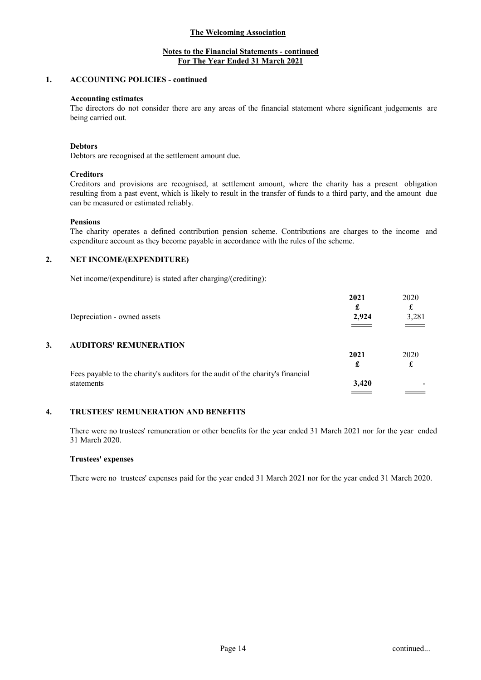# Notes to the Financial Statements - continued For The Year Ended 31 March 2021

### 1. ACCOUNTING POLICIES - continued

#### Accounting estimates

The directors do not consider there are any areas of the financial statement where significant judgements are being carried out.

#### Debtors

Debtors are recognised at the settlement amount due.

### **Creditors**

Creditors and provisions are recognised, at settlement amount, where the charity has a present obligation resulting from a past event, which is likely to result in the transfer of funds to a third party, and the amount due can be measured or estimated reliably.

#### Pensions

The charity operates a defined contribution pension scheme. Contributions are charges to the income and expenditure account as they become payable in accordance with the rules of the scheme.

### 2. NET INCOME/(EXPENDITURE)

Net income/(expenditure) is stated after charging/(crediting):

|    |                                                                                 | 2021                     | 2020                                 |
|----|---------------------------------------------------------------------------------|--------------------------|--------------------------------------|
|    |                                                                                 |                          |                                      |
|    | Depreciation - owned assets                                                     | 2,924                    | 3,281                                |
|    |                                                                                 |                          | $\overline{\phantom{iiiiiiiiiiiii}}$ |
| 3. | <b>AUDITORS' REMUNERATION</b>                                                   |                          |                                      |
|    |                                                                                 | 2021                     | 2020                                 |
|    |                                                                                 | £                        |                                      |
|    | Fees payable to the charity's auditors for the audit of the charity's financial |                          |                                      |
|    | statements                                                                      | 3,420                    |                                      |
|    |                                                                                 | the contract of the con- |                                      |

# 4. TRUSTEES' REMUNERATION AND BENEFITS

There were no trustees' remuneration or other benefits for the year ended 31 March 2021 nor for the year ended 31 March 2020.

#### Trustees' expenses

There were no trustees' expenses paid for the year ended 31 March 2021 nor for the year ended 31 March 2020.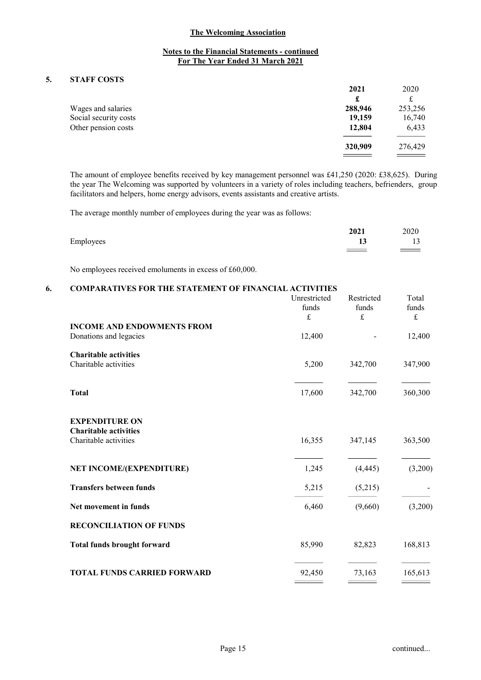# Notes to the Financial Statements - continued For The Year Ended 31 March 2021

# 5. STAFF COSTS

|                       | 2021    | 2020    |
|-----------------------|---------|---------|
|                       | £       |         |
| Wages and salaries    | 288,946 | 253,256 |
| Social security costs | 19,159  | 16,740  |
| Other pension costs   | 12,804  | 6,433   |
|                       | 320,909 | 276,429 |
|                       |         |         |

The amount of employee benefits received by key management personnel was £41,250 (2020: £38,625). During the year The Welcoming was supported by volunteers in a variety of roles including teachers, befrienders, group facilitators and helpers, home energy advisors, events assistants and creative artists.

The average monthly number of employees during the year was as follows:

|           | 2021 | 2020               |
|-----------|------|--------------------|
| Employees | 19.  | 13                 |
|           |      | $\hspace{1.5cm} =$ |

No employees received emoluments in excess of £60,000.

# 6. COMPARATIVES FOR THE STATEMENT OF FINANCIAL ACTIVITIES

|                                                       | Unrestricted<br>funds<br>$\pounds$ | Restricted<br>funds<br>$\pounds$ | Total<br>funds<br>$\pounds$ |
|-------------------------------------------------------|------------------------------------|----------------------------------|-----------------------------|
| <b>INCOME AND ENDOWMENTS FROM</b>                     |                                    |                                  |                             |
| Donations and legacies                                | 12,400                             |                                  | 12,400                      |
| <b>Charitable activities</b>                          |                                    |                                  |                             |
| Charitable activities                                 | 5,200                              | 342,700                          | 347,900                     |
|                                                       |                                    |                                  |                             |
| <b>Total</b>                                          | 17,600                             | 342,700                          | 360,300                     |
|                                                       |                                    |                                  |                             |
| <b>EXPENDITURE ON</b><br><b>Charitable activities</b> |                                    |                                  |                             |
| Charitable activities                                 | 16,355                             | 347,145                          | 363,500                     |
|                                                       |                                    |                                  |                             |
| <b>NET INCOME/(EXPENDITURE)</b>                       | 1,245                              | (4, 445)                         | (3,200)                     |
| <b>Transfers between funds</b>                        | 5,215                              | (5,215)                          |                             |
| Net movement in funds                                 | 6,460                              | (9,660)                          | (3,200)                     |
| <b>RECONCILIATION OF FUNDS</b>                        |                                    |                                  |                             |
| <b>Total funds brought forward</b>                    | 85,990                             | 82,823                           | 168,813                     |
| <b>TOTAL FUNDS CARRIED FORWARD</b>                    | 92,450                             | 73,163                           | 165,613                     |
|                                                       |                                    |                                  |                             |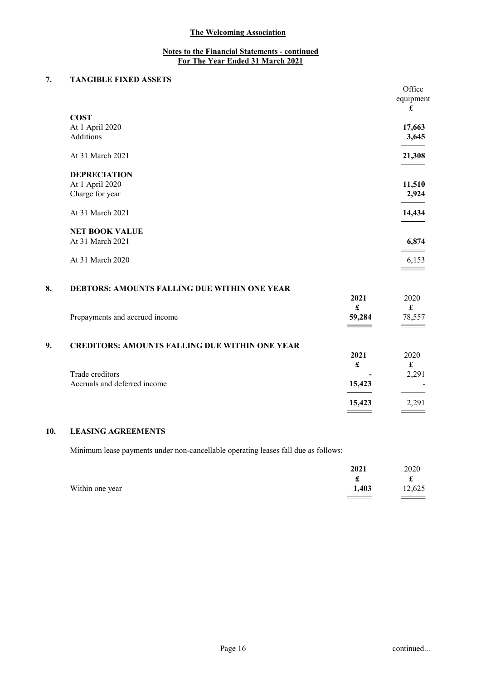# 7. TANGIBLE FIXED ASSETS

|    |                                              |      | Office       |
|----|----------------------------------------------|------|--------------|
|    |                                              |      | equipment    |
|    |                                              |      | £            |
|    | <b>COST</b>                                  |      |              |
|    | At 1 April 2020                              |      | 17,663       |
|    | Additions                                    |      | 3,645        |
|    | At 31 March 2021                             |      | 21,308       |
|    | <b>DEPRECIATION</b>                          |      |              |
|    | At 1 April 2020                              |      | 11,510       |
|    | Charge for year                              |      | 2,924        |
|    | At 31 March 2021                             |      | 14,434       |
|    | <b>NET BOOK VALUE</b>                        |      |              |
|    | At 31 March 2021                             |      | 6,874        |
|    | At 31 March 2020                             |      | 6,153        |
|    |                                              |      |              |
| 8. | DEBTORS: AMOUNTS FALLING DUE WITHIN ONE YEAR |      |              |
|    |                                              | 2021 | 2020         |
|    |                                              | f    | $\mathbf{f}$ |

|    | Prepayments and accrued income                        | 59,284 | 78,557 |
|----|-------------------------------------------------------|--------|--------|
| 9. | <b>CREDITORS: AMOUNTS FALLING DUE WITHIN ONE YEAR</b> | 2021   | 2020   |
|    |                                                       |        |        |
|    | Trade creditors                                       |        | 2,291  |
|    | Accruals and deferred income                          | 15,423 |        |
|    |                                                       | 15,423 | 2,291  |

# 10. LEASING AGREEMENTS

Minimum lease payments under non-cancellable operating leases fall due as follows:

|                 | 2021  | 2020    |
|-----------------|-------|---------|
|                 | £     | £       |
| Within one year | 1,403 | 12,625  |
|                 |       | $=$ $=$ |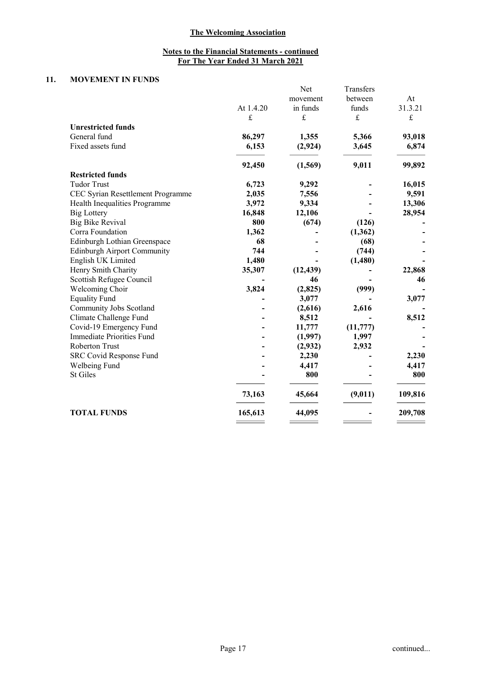# 11. MOVEMENT IN FUNDS

|                                    |           | Net       | Transfers |         |
|------------------------------------|-----------|-----------|-----------|---------|
|                                    |           | movement  | between   | At      |
|                                    | At 1.4.20 | in funds  | funds     | 31.3.21 |
|                                    | £         | £         | £         | £       |
| <b>Unrestricted funds</b>          |           |           |           |         |
| General fund                       | 86,297    | 1,355     | 5,366     | 93,018  |
| Fixed assets fund                  | 6,153     | (2, 924)  | 3,645     | 6,874   |
|                                    | 92,450    | (1,569)   | 9,011     | 99,892  |
| <b>Restricted funds</b>            |           |           |           |         |
| <b>Tudor Trust</b>                 | 6,723     | 9,292     |           | 16,015  |
| CEC Syrian Resettlement Programme  | 2,035     | 7,556     |           | 9,591   |
| Health Inequalities Programme      | 3,972     | 9,334     |           | 13,306  |
| <b>Big Lottery</b>                 | 16,848    | 12,106    |           | 28,954  |
| <b>Big Bike Revival</b>            | 800       | (674)     | (126)     |         |
| Corra Foundation                   | 1,362     |           | (1, 362)  |         |
| Edinburgh Lothian Greenspace       | 68        |           | (68)      |         |
| <b>Edinburgh Airport Community</b> | 744       |           | (744)     |         |
| English UK Limited                 | 1,480     |           | (1,480)   |         |
| Henry Smith Charity                | 35,307    | (12, 439) |           | 22,868  |
| Scottish Refugee Council           |           | 46        |           | 46      |
| Welcoming Choir                    | 3,824     | (2,825)   | (999)     |         |
| <b>Equality Fund</b>               |           | 3,077     |           | 3,077   |
| Community Jobs Scotland            |           | (2,616)   | 2,616     |         |
| Climate Challenge Fund             |           | 8,512     |           | 8,512   |
| Covid-19 Emergency Fund            |           | 11,777    | (11, 777) |         |
| Immediate Priorities Fund          |           | (1,997)   | 1,997     |         |
| Roberton Trust                     |           | (2,932)   | 2,932     |         |
| SRC Covid Response Fund            |           | 2,230     |           | 2,230   |
| Welbeing Fund                      |           | 4,417     |           | 4,417   |
| <b>St Giles</b>                    |           | 800       |           | 800     |
|                                    | 73,163    | 45,664    | (9,011)   | 109,816 |
| <b>TOTAL FUNDS</b>                 | 165,613   | 44,095    |           | 209,708 |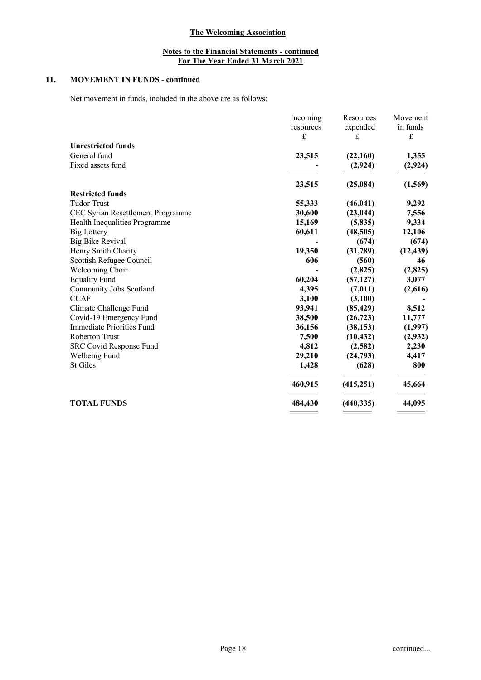# 11. MOVEMENT IN FUNDS - continued

Net movement in funds, included in the above are as follows:

|                                   | Incoming<br>resources | Resources<br>expended | Movement<br>in funds |
|-----------------------------------|-----------------------|-----------------------|----------------------|
|                                   | £                     | £                     | $\pounds$            |
| <b>Unrestricted funds</b>         |                       |                       |                      |
| General fund                      | 23,515                | (22,160)              | 1,355                |
| Fixed assets fund                 |                       | (2,924)               | (2, 924)             |
|                                   | 23,515                | (25,084)              | (1,569)              |
| <b>Restricted funds</b>           |                       |                       |                      |
| <b>Tudor Trust</b>                | 55,333                | (46, 041)             | 9,292                |
| CEC Syrian Resettlement Programme | 30,600                | (23, 044)             | 7,556                |
| Health Inequalities Programme     | 15,169                | (5,835)               | 9,334                |
| <b>Big Lottery</b>                | 60,611                | (48, 505)             | 12,106               |
| <b>Big Bike Revival</b>           |                       | (674)                 | (674)                |
| Henry Smith Charity               | 19,350                | (31,789)              | (12, 439)            |
| Scottish Refugee Council          | 606                   | (560)                 | 46                   |
| Welcoming Choir                   |                       | (2,825)               | (2,825)              |
| <b>Equality Fund</b>              | 60,204                | (57, 127)             | 3,077                |
| Community Jobs Scotland           | 4,395                 | (7, 011)              | (2,616)              |
| <b>CCAF</b>                       | 3,100                 | (3,100)               |                      |
| Climate Challenge Fund            | 93,941                | (85, 429)             | 8,512                |
| Covid-19 Emergency Fund           | 38,500                | (26, 723)             | 11,777               |
| Immediate Priorities Fund         | 36,156                | (38, 153)             | (1,997)              |
| Roberton Trust                    | 7,500                 | (10, 432)             | (2,932)              |
| <b>SRC Covid Response Fund</b>    | 4,812                 | (2,582)               | 2,230                |
| Welbeing Fund                     | 29,210                | (24,793)              | 4,417                |
| <b>St Giles</b>                   | 1,428                 | (628)                 | 800                  |
|                                   | 460,915               | (415, 251)            | 45,664               |
| <b>TOTAL FUNDS</b>                | 484,430               | (440, 335)            | 44,095               |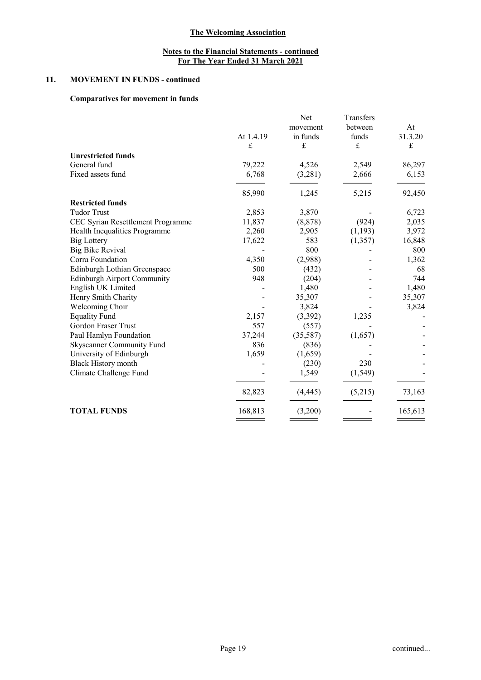# 11. MOVEMENT IN FUNDS - continued

# Comparatives for movement in funds

|                                    |            | Net      | Transfers   |           |
|------------------------------------|------------|----------|-------------|-----------|
|                                    |            | movement | between     | At        |
|                                    | At 1.4.19  | in funds | funds       | 31.3.20   |
|                                    | $\frak{L}$ | £        | $\mathbf f$ | $\pounds$ |
| <b>Unrestricted funds</b>          |            |          |             |           |
| General fund                       | 79,222     | 4,526    | 2,549       | 86,297    |
| Fixed assets fund                  | 6,768      | (3,281)  | 2,666       | 6,153     |
|                                    | 85,990     | 1,245    | 5,215       | 92,450    |
| <b>Restricted funds</b>            |            |          |             |           |
| <b>Tudor Trust</b>                 | 2,853      | 3,870    |             | 6,723     |
| CEC Syrian Resettlement Programme  | 11,837     | (8, 878) | (924)       | 2,035     |
| Health Inequalities Programme      | 2,260      | 2,905    | (1,193)     | 3,972     |
| <b>Big Lottery</b>                 | 17,622     | 583      | (1, 357)    | 16,848    |
| <b>Big Bike Revival</b>            |            | 800      |             | 800       |
| Corra Foundation                   | 4,350      | (2,988)  |             | 1,362     |
| Edinburgh Lothian Greenspace       | 500        | (432)    |             | 68        |
| <b>Edinburgh Airport Community</b> | 948        | (204)    |             | 744       |
| English UK Limited                 |            | 1,480    |             | 1,480     |
| Henry Smith Charity                |            | 35,307   |             | 35,307    |
| Welcoming Choir                    |            | 3,824    |             | 3,824     |
| <b>Equality Fund</b>               | 2,157      | (3,392)  | 1,235       |           |
| Gordon Fraser Trust                | 557        | (557)    |             |           |
| Paul Hamlyn Foundation             | 37,244     | (35,587) | (1,657)     |           |
| Skyscanner Community Fund          | 836        | (836)    |             |           |
| University of Edinburgh            | 1,659      | (1,659)  |             |           |
| <b>Black History month</b>         |            | (230)    | 230         |           |
| Climate Challenge Fund             |            | 1,549    | (1, 549)    |           |
|                                    | 82,823     | (4, 445) | (5,215)     | 73,163    |
| <b>TOTAL FUNDS</b>                 | 168,813    | (3,200)  |             | 165,613   |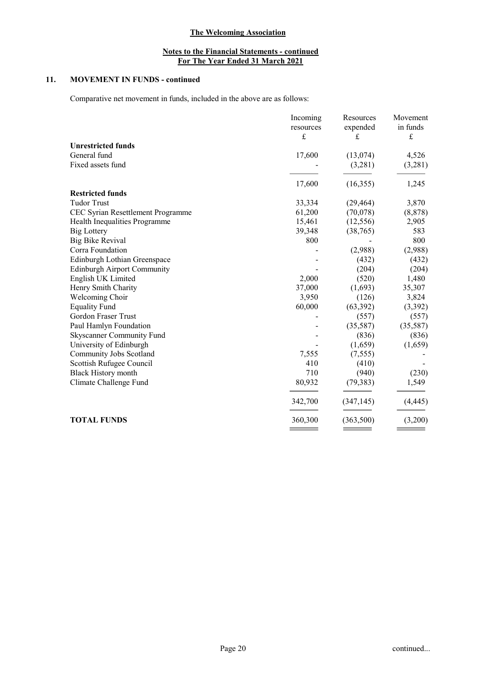# 11. MOVEMENT IN FUNDS - continued

Comparative net movement in funds, included in the above are as follows:

|                                    | Incoming  | Resources     | Movement                |
|------------------------------------|-----------|---------------|-------------------------|
|                                    | resources | expended<br>£ | in funds<br>$\mathbf f$ |
|                                    | $\pounds$ |               |                         |
| <b>Unrestricted funds</b>          |           |               |                         |
| General fund                       | 17,600    | (13,074)      | 4,526                   |
| Fixed assets fund                  |           | (3,281)       | (3,281)                 |
|                                    | 17,600    | (16,355)      | 1,245                   |
| <b>Restricted funds</b>            |           |               |                         |
| <b>Tudor Trust</b>                 | 33,334    | (29, 464)     | 3,870                   |
| CEC Syrian Resettlement Programme  | 61,200    | (70,078)      | (8, 878)                |
| Health Inequalities Programme      | 15,461    | (12, 556)     | 2,905                   |
| <b>Big Lottery</b>                 | 39,348    | (38, 765)     | 583                     |
| <b>Big Bike Revival</b>            | 800       |               | 800                     |
| Corra Foundation                   |           | (2,988)       | (2,988)                 |
| Edinburgh Lothian Greenspace       |           | (432)         | (432)                   |
| <b>Edinburgh Airport Community</b> |           | (204)         | (204)                   |
| English UK Limited                 | 2,000     | (520)         | 1,480                   |
| Henry Smith Charity                | 37,000    | (1,693)       | 35,307                  |
| Welcoming Choir                    | 3,950     | (126)         | 3,824                   |
| <b>Equality Fund</b>               | 60,000    | (63, 392)     | (3,392)                 |
| Gordon Fraser Trust                |           | (557)         | (557)                   |
| Paul Hamlyn Foundation             |           | (35,587)      | (35,587)                |
| Skyscanner Community Fund          |           | (836)         | (836)                   |
| University of Edinburgh            |           | (1,659)       | (1,659)                 |
| Community Jobs Scotland            | 7,555     | (7, 555)      |                         |
| Scottish Rufugee Council           | 410       | (410)         |                         |
| <b>Black History month</b>         | 710       | (940)         | (230)                   |
| Climate Challenge Fund             | 80,932    | (79, 383)     | 1,549                   |
|                                    | 342,700   | (347, 145)    | (4, 445)                |
| <b>TOTAL FUNDS</b>                 | 360,300   | (363,500)     | (3,200)                 |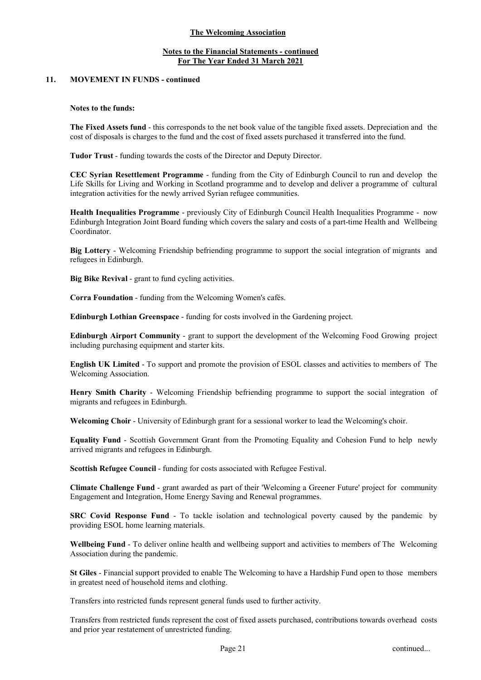# Notes to the Financial Statements - continued For The Year Ended 31 March 2021

## 11. MOVEMENT IN FUNDS - continued

#### Notes to the funds:

The Fixed Assets fund - this corresponds to the net book value of the tangible fixed assets. Depreciation and the cost of disposals is charges to the fund and the cost of fixed assets purchased it transferred into the fund.

Tudor Trust - funding towards the costs of the Director and Deputy Director.

CEC Syrian Resettlement Programme - funding from the City of Edinburgh Council to run and develop the Life Skills for Living and Working in Scotland programme and to develop and deliver a programme of cultural integration activities for the newly arrived Syrian refugee communities.

Health Inequalities Programme - previously City of Edinburgh Council Health Inequalities Programme - now Edinburgh Integration Joint Board funding which covers the salary and costs of a part-time Health and Wellbeing Coordinator.

Big Lottery - Welcoming Friendship befriending programme to support the social integration of migrants and refugees in Edinburgh.

Big Bike Revival - grant to fund cycling activities.

Corra Foundation - funding from the Welcoming Women's cafés.

Edinburgh Lothian Greenspace - funding for costs involved in the Gardening project.

Edinburgh Airport Community - grant to support the development of the Welcoming Food Growing project including purchasing equipment and starter kits.

English UK Limited - To support and promote the provision of ESOL classes and activities to members of The Welcoming Association.

Henry Smith Charity - Welcoming Friendship befriending programme to support the social integration of migrants and refugees in Edinburgh.

Welcoming Choir - University of Edinburgh grant for a sessional worker to lead the Welcoming's choir.

Equality Fund - Scottish Government Grant from the Promoting Equality and Cohesion Fund to help newly arrived migrants and refugees in Edinburgh.

Scottish Refugee Council - funding for costs associated with Refugee Festival.

Climate Challenge Fund - grant awarded as part of their 'Welcoming a Greener Future' project for community Engagement and Integration, Home Energy Saving and Renewal programmes.

SRC Covid Response Fund - To tackle isolation and technological poverty caused by the pandemic by providing ESOL home learning materials.

Wellbeing Fund - To deliver online health and wellbeing support and activities to members of The Welcoming Association during the pandemic.

St Giles - Financial support provided to enable The Welcoming to have a Hardship Fund open to those members in greatest need of household items and clothing.

Transfers into restricted funds represent general funds used to further activity.

Transfers from restricted funds represent the cost of fixed assets purchased, contributions towards overhead costs and prior year restatement of unrestricted funding.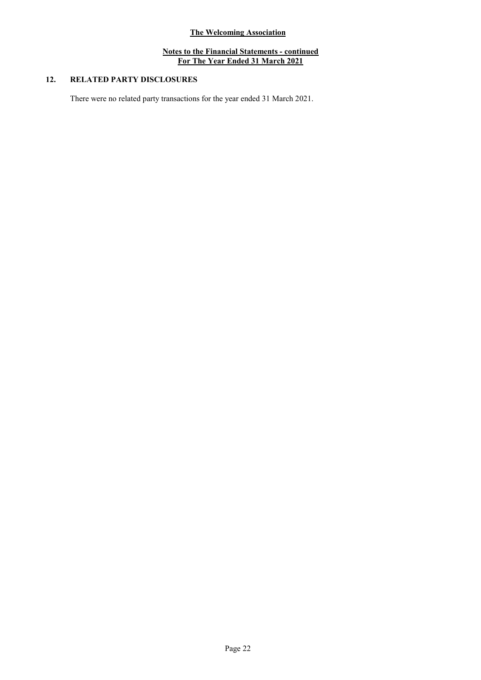# 12. RELATED PARTY DISCLOSURES

There were no related party transactions for the year ended 31 March 2021.